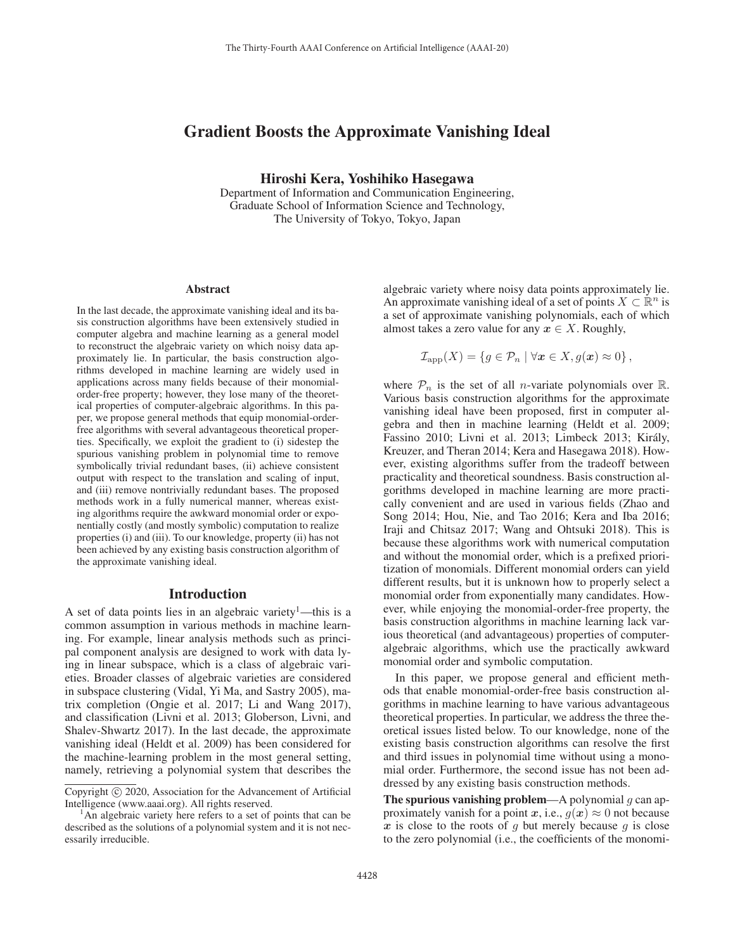# Gradient Boosts the Approximate Vanishing Ideal

Hiroshi Kera, Yoshihiko Hasegawa

Department of Information and Communication Engineering, Graduate School of Information Science and Technology, The University of Tokyo, Tokyo, Japan

#### Abstract

In the last decade, the approximate vanishing ideal and its basis construction algorithms have been extensively studied in computer algebra and machine learning as a general model to reconstruct the algebraic variety on which noisy data approximately lie. In particular, the basis construction algorithms developed in machine learning are widely used in applications across many fields because of their monomialorder-free property; however, they lose many of the theoretical properties of computer-algebraic algorithms. In this paper, we propose general methods that equip monomial-orderfree algorithms with several advantageous theoretical properties. Specifically, we exploit the gradient to (i) sidestep the spurious vanishing problem in polynomial time to remove symbolically trivial redundant bases, (ii) achieve consistent output with respect to the translation and scaling of input, and (iii) remove nontrivially redundant bases. The proposed methods work in a fully numerical manner, whereas existing algorithms require the awkward monomial order or exponentially costly (and mostly symbolic) computation to realize properties (i) and (iii). To our knowledge, property (ii) has not been achieved by any existing basis construction algorithm of the approximate vanishing ideal.

# Introduction

A set of data points lies in an algebraic variety<sup>1</sup>—this is a common assumption in various methods in machine learning. For example, linear analysis methods such as principal component analysis are designed to work with data lying in linear subspace, which is a class of algebraic varieties. Broader classes of algebraic varieties are considered in subspace clustering (Vidal, Yi Ma, and Sastry 2005), matrix completion (Ongie et al. 2017; Li and Wang 2017), and classification (Livni et al. 2013; Globerson, Livni, and Shalev-Shwartz 2017). In the last decade, the approximate vanishing ideal (Heldt et al. 2009) has been considered for the machine-learning problem in the most general setting, namely, retrieving a polynomial system that describes the

algebraic variety where noisy data points approximately lie. An approximate vanishing ideal of a set of points  $X \subset \mathbb{R}^n$  is a set of approximate vanishing polynomials, each of which almost takes a zero value for any  $x \in X$ . Roughly,

$$
\mathcal{I}_{\text{app}}(X) = \{ g \in \mathcal{P}_n \mid \forall \boldsymbol{x} \in X, g(\boldsymbol{x}) \approx 0 \},
$$

where  $P_n$  is the set of all *n*-variate polynomials over R. Various basis construction algorithms for the approximate vanishing ideal have been proposed, first in computer algebra and then in machine learning (Heldt et al. 2009; Fassino 2010; Livni et al. 2013; Limbeck 2013; Király, Kreuzer, and Theran 2014; Kera and Hasegawa 2018). However, existing algorithms suffer from the tradeoff between practicality and theoretical soundness. Basis construction algorithms developed in machine learning are more practically convenient and are used in various fields (Zhao and Song 2014; Hou, Nie, and Tao 2016; Kera and Iba 2016; Iraji and Chitsaz 2017; Wang and Ohtsuki 2018). This is because these algorithms work with numerical computation and without the monomial order, which is a prefixed prioritization of monomials. Different monomial orders can yield different results, but it is unknown how to properly select a monomial order from exponentially many candidates. However, while enjoying the monomial-order-free property, the basis construction algorithms in machine learning lack various theoretical (and advantageous) properties of computeralgebraic algorithms, which use the practically awkward monomial order and symbolic computation.

In this paper, we propose general and efficient methods that enable monomial-order-free basis construction algorithms in machine learning to have various advantageous theoretical properties. In particular, we address the three theoretical issues listed below. To our knowledge, none of the existing basis construction algorithms can resolve the first and third issues in polynomial time without using a monomial order. Furthermore, the second issue has not been addressed by any existing basis construction methods.

The spurious vanishing problem—A polynomial  $g$  can approximately vanish for a point *x*, i.e.,  $g(x) \approx 0$  not because  $x$  is close to the roots of  $g$  but merely because  $g$  is close to the zero polynomial (i.e., the coefficients of the monomi-

Copyright  $\odot$  2020, Association for the Advancement of Artificial Intelligence (www.aaai.org). All rights reserved.

 $<sup>1</sup>$ An algebraic variety here refers to a set of points that can be</sup> described as the solutions of a polynomial system and it is not necessarily irreducible.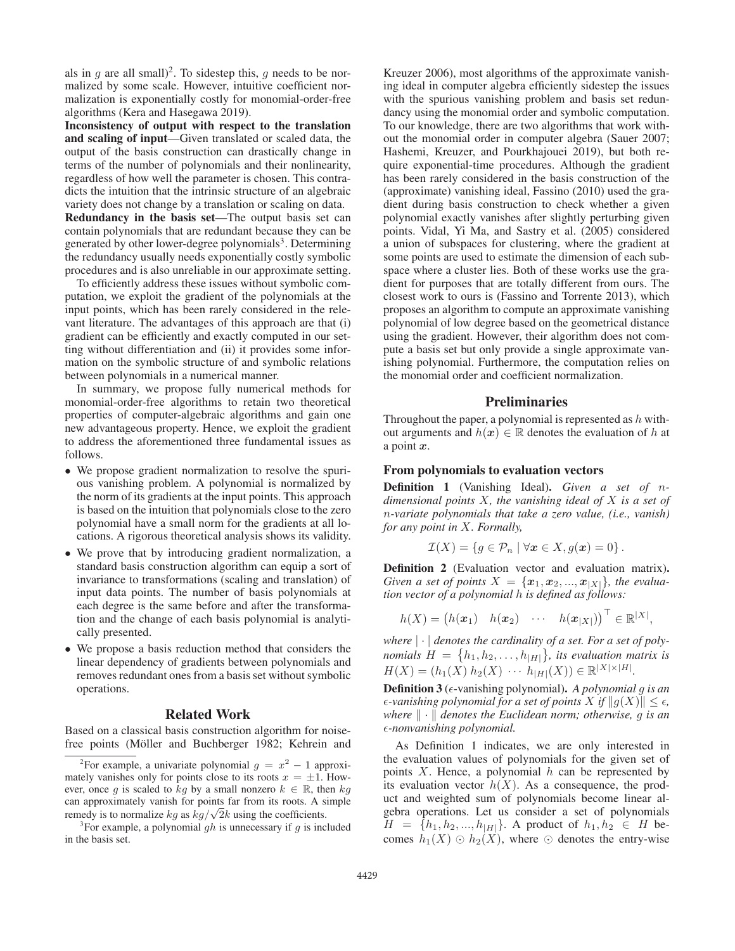als in g are all small)<sup>2</sup>. To sidestep this, g needs to be normalized by some scale. However, intuitive coefficient normalization is exponentially costly for monomial-order-free algorithms (Kera and Hasegawa 2019).

Inconsistency of output with respect to the translation and scaling of input—Given translated or scaled data, the output of the basis construction can drastically change in terms of the number of polynomials and their nonlinearity, regardless of how well the parameter is chosen. This contradicts the intuition that the intrinsic structure of an algebraic variety does not change by a translation or scaling on data.

Redundancy in the basis set—The output basis set can contain polynomials that are redundant because they can be generated by other lower-degree polynomials<sup>3</sup>. Determining the redundancy usually needs exponentially costly symbolic procedures and is also unreliable in our approximate setting.

To efficiently address these issues without symbolic computation, we exploit the gradient of the polynomials at the input points, which has been rarely considered in the relevant literature. The advantages of this approach are that (i) gradient can be efficiently and exactly computed in our setting without differentiation and (ii) it provides some information on the symbolic structure of and symbolic relations between polynomials in a numerical manner.

In summary, we propose fully numerical methods for monomial-order-free algorithms to retain two theoretical properties of computer-algebraic algorithms and gain one new advantageous property. Hence, we exploit the gradient to address the aforementioned three fundamental issues as follows.

- We propose gradient normalization to resolve the spurious vanishing problem. A polynomial is normalized by the norm of its gradients at the input points. This approach is based on the intuition that polynomials close to the zero polynomial have a small norm for the gradients at all locations. A rigorous theoretical analysis shows its validity.
- We prove that by introducing gradient normalization, a standard basis construction algorithm can equip a sort of invariance to transformations (scaling and translation) of input data points. The number of basis polynomials at each degree is the same before and after the transformation and the change of each basis polynomial is analytically presented.
- We propose a basis reduction method that considers the linear dependency of gradients between polynomials and removes redundant ones from a basis set without symbolic operations.

# Related Work

Based on a classical basis construction algorithm for noisefree points (Möller and Buchberger 1982; Kehrein and

Kreuzer 2006), most algorithms of the approximate vanishing ideal in computer algebra efficiently sidestep the issues with the spurious vanishing problem and basis set redundancy using the monomial order and symbolic computation. To our knowledge, there are two algorithms that work without the monomial order in computer algebra (Sauer 2007; Hashemi, Kreuzer, and Pourkhajouei 2019), but both require exponential-time procedures. Although the gradient has been rarely considered in the basis construction of the (approximate) vanishing ideal, Fassino (2010) used the gradient during basis construction to check whether a given polynomial exactly vanishes after slightly perturbing given points. Vidal, Yi Ma, and Sastry et al. (2005) considered a union of subspaces for clustering, where the gradient at some points are used to estimate the dimension of each subspace where a cluster lies. Both of these works use the gradient for purposes that are totally different from ours. The closest work to ours is (Fassino and Torrente 2013), which proposes an algorithm to compute an approximate vanishing polynomial of low degree based on the geometrical distance using the gradient. However, their algorithm does not compute a basis set but only provide a single approximate vanishing polynomial. Furthermore, the computation relies on the monomial order and coefficient normalization.

# **Preliminaries**

Throughout the paper, a polynomial is represented as  $h$  without arguments and  $h(x) \in \mathbb{R}$  denotes the evaluation of h at a point *x*.

### From polynomials to evaluation vectors

Definition 1 (Vanishing Ideal). *Given a set of* n*dimensional points* X*, the vanishing ideal of* X *is a set of* n*-variate polynomials that take a zero value, (i.e., vanish) for any point in* X*. Formally,*

$$
\mathcal{I}(X) = \{ g \in \mathcal{P}_n \mid \forall x \in X, g(x) = 0 \}.
$$

Definition 2 (Evaluation vector and evaluation matrix). *Given a set of points*  $X = \{x_1, x_2, ..., x_{|X|}\}$ *, the evaluation vector of a polynomial* h *is defined as follows:*

$$
h(X) = (h(\boldsymbol{x}_1) \quad h(\boldsymbol{x}_2) \quad \cdots \quad h(\boldsymbol{x}_{|X|}))^{\top} \in \mathbb{R}^{|X|},
$$

*where* |·| *denotes the cardinality of a set. For a set of polynomials*  $H = \{h_1, h_2, \ldots, h_{|H|}\}$ , *its evaluation matrix is*  $H(X)=(h_1(X) h_2(X) \cdots h_{|H|}(X)) \in \mathbb{R}^{|X| \times |H|}.$ 

Definition 3 ( $\epsilon$ -vanishing polynomial). *A polynomial g is an*  $\epsilon$ -vanishing polynomial for a set of points  $X$  if  $||g(X)|| \leq \epsilon$ , *where*  $\|\cdot\|$  *denotes the Euclidean norm; otherwise, g is an* -*-nonvanishing polynomial.*

As Definition 1 indicates, we are only interested in the evaluation values of polynomials for the given set of points  $X$ . Hence, a polynomial  $h$  can be represented by its evaluation vector  $h(X)$ . As a consequence, the product and weighted sum of polynomials become linear algebra operations. Let us consider a set of polynomials  $H = \{h_1, h_2, ..., h_{|H|}\}.$  A product of  $h_1, h_2 \in H$  becomes  $h_1(X) \odot h_2(X)$ , where  $\odot$  denotes the entry-wise

<sup>&</sup>lt;sup>2</sup>For example, a univariate polynomial  $g = x^2 - 1$  approxi-<br>rely vanishes only for points close to its roots  $x = \pm 1$ . Howmately vanishes only for points close to its roots  $x = \pm 1$ . However, once q is scaled to kq by a small nonzero  $k \in \mathbb{R}$ , then kq can approximately vanish for points far from its roots. A simple remedy is to normalize  $kq$  as  $kq/\sqrt{2}k$  using the coefficients.

<sup>&</sup>lt;sup>3</sup>For example, a polynomial gh is unnecessary if g is included in the basis set.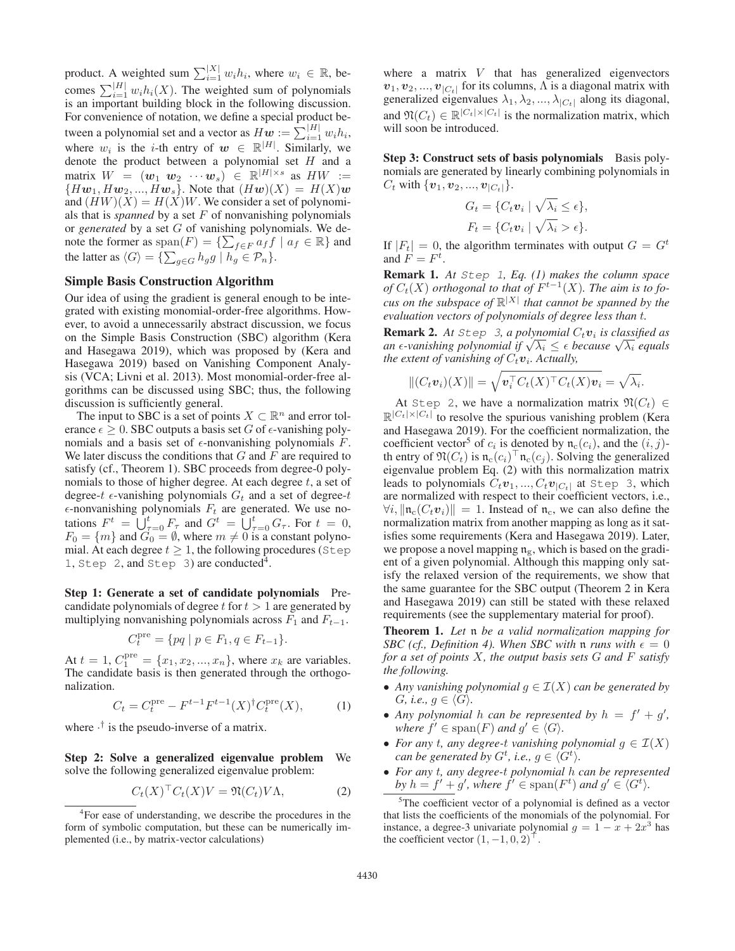product. A weighted sum  $\sum_{i=1}^{|X|} w_i h_i$ , where  $w_i \in \mathbb{R}$ , becomes  $\sum_{i=1}^{|H|} w_i h_i(X)$ . The weighted sum of polynomials is an important building block in the following discussion is an important building block in the following discussion. For convenience of notation, we define a special product between a polynomial set and a vector as  $Hw := \sum_{i=1}^{|H|} w_i h_i$ ,<br>where  $w_i$  is the *i*-th ontage of  $w_i \in \mathbb{R}^{|H|}$ . Similarly, we where  $w_i$  is the *i*-th entry of  $w \in \mathbb{R}^{|H|}$ . Similarly, we denote the product between a polynomial set H and a denote the product between a polynomial set  $H$  and a matrix  $W = (\mathbf{w}_1 \ \mathbf{w}_2 \ \cdots \ \mathbf{w}_s) \in \mathbb{R}^{|H| \times s}$  as  $HW :=$  ${Hw_1, Hw_2, ..., Hw_s}$ . Note that  $(Hw)(X) = H(X)w$ and  $(HW)(X) = H(X)W$ . We consider a set of polynomials that is *spanned* by a set  $F$  of nonvanishing polynomials or *generated* by a set G of vanishing polynomials. We denote the former as  $\text{span}(F) = \{ \sum_{f \in F} a_f f \mid a_f \in \mathbb{R} \}$  and<br>the latter as  $\langle G \rangle = \{ \sum_{h} a_h \mid h \in \mathbb{Z} \}$ the latter as  $\langle G \rangle = \{ \sum_{g \in G} h_g g \mid h_g \in \mathcal{P}_n \}.$ 

# Simple Basis Construction Algorithm

Our idea of using the gradient is general enough to be integrated with existing monomial-order-free algorithms. However, to avoid a unnecessarily abstract discussion, we focus on the Simple Basis Construction (SBC) algorithm (Kera and Hasegawa 2019), which was proposed by (Kera and Hasegawa 2019) based on Vanishing Component Analysis (VCA; Livni et al. 2013). Most monomial-order-free algorithms can be discussed using SBC; thus, the following discussion is sufficiently general.

The input to SBC is a set of points  $X \subset \mathbb{R}^n$  and error tolerance  $\epsilon \geq 0$ . SBC outputs a basis set G of  $\epsilon$ -vanishing polynomials and a basis set of  $\epsilon$ -nonvanishing polynomials F. We later discuss the conditions that  $G$  and  $F$  are required to satisfy (cf., Theorem 1). SBC proceeds from degree-0 polynomials to those of higher degree. At each degree  $t$ , a set of degree-t  $\epsilon$ -vanishing polynomials  $G_t$  and a set of degree-t  $\epsilon$ -nonvanishing polynomials  $F_t$  are generated. We use no  $\epsilon$ -nonvanishing polynomials  $F_t$  are generated. We use notations  $F^t = \bigcup_{\tau=0}^t F_\tau$  and  $G^t = \bigcup_{\tau=0}^t G_\tau$ . For  $t = 0$ ,  $F_0 = \{m\}$  and  $G_0 = \emptyset$ , where  $m \neq 0$  is a constant polynomial. At each degree  $t \geq 1$ , the following procedures (Step 1, Step 2, and Step 3) are conducted<sup>4</sup>.

Step 1: Generate a set of candidate polynomials Precandidate polynomials of degree  $t$  for  $t > 1$  are generated by multiplying nonvanishing polynomials across  $F_1$  and  $F_{t-1}$ .

$$
C_t^{\text{pre}} = \{ pq \mid p \in F_1, q \in F_{t-1} \}.
$$

At  $t = 1$ ,  $C_1^{\text{pre}} = \{x_1, x_2, ..., x_n\}$ , where  $x_k$  are variables.<br>The candidate basis is then generated through the orthogo The candidate basis is then generated through the orthogonalization.

$$
C_t = C_t^{\text{pre}} - F^{t-1} F^{t-1}(X)^\dagger C_t^{\text{pre}}(X), \tag{1}
$$

where  $\cdot^{\dagger}$  is the pseudo-inverse of a matrix.

Step 2: Solve a generalized eigenvalue problem We solve the following generalized eigenvalue problem:

$$
C_t(X)^\top C_t(X)V = \mathfrak{N}(C_t)V\Lambda,\tag{2}
$$

where a matrix  $V$  that has generalized eigenvectors  $v_1, v_2, ..., v_{|C_t|}$  for its columns,  $\Lambda$  is a diagonal matrix with generalized eigenvalues  $\lambda_1, \lambda_2, ..., \lambda_{|C_t|}$  along its diagonal, and  $\mathfrak{N}(C_t) \in \mathbb{R}^{|C_t| \times |C_t|}$  is the normalization matrix, which will soon be introduced.

Step 3: Construct sets of basis polynomials Basis polynomials are generated by linearly combining polynomials in  $C_t$  with  $\{v_1, v_2, ..., v_{|C_t|}\}.$ 

$$
G_t = \{ C_t \mathbf{v}_i \mid \sqrt{\lambda_i} \le \epsilon \},
$$
  

$$
F_t = \{ C_t \mathbf{v}_i \mid \sqrt{\lambda_i} > \epsilon \}.
$$

If  $|F_t| = 0$ , the algorithm terminates with output  $G = G^t$ and  $F = F^t$ .

Remark 1. *At* Step 1*, Eq. (1) makes the column space of*  $C_t(X)$  *orthogonal to that of*  $F^{t-1}(X)$ *. The aim is to fo-*<br>*our on the subgrass* of  $\mathbb{R}^{|X|}$  that square he granued by the *cus on the subspace of*  $\mathbb{R}^{|X|}$  *that cannot be spanned by the evaluation vectors of polynomials of degree less than* t*.*

**Remark 2.** At Step 3, a polynomial  $C_t v_i$  is classified as **Remark 2.** At step 3, a polynomial  $C_t v_i$  is classified as<br>an e-vanishing polynomial if  $\sqrt{\lambda_i} \leq \epsilon$  because  $\sqrt{\lambda_i}$  equals<br>the extent of vanishing of  $C_v v_i$ , Actually *the extent of vanishing of*  $C_t v_i$ *. Actually,* 

$$
||(C_t\boldsymbol{v}_i)(X)|| = \sqrt{\boldsymbol{v}_i^{\top} C_t(X)^{\top} C_t(X)\boldsymbol{v}_i} = \sqrt{\lambda_i}.
$$

At Step 2, we have a normalization matrix  $\mathfrak{N}(C_t) \in$  $\mathbb{R}^{|C_t| \times |C_t|}$  to resolve the spurious vanishing problem (Kera and Hasegawa 2019). For the coefficient normalization, the coefficient vector<sup>5</sup> of  $c_i$  is denoted by  $\mathfrak{n}_{c}(c_i)$ , and the  $(i, j)$ th entry of  $\mathfrak{N}(C_t)$  is  $\mathfrak{n}_c(c_i)^\top \mathfrak{n}_c(c_j)$ . Solving the generalized eigenvalue problem Eq. (2) with this normalization matrix leads to polynomials  $C_t v_1, ..., C_t v_{|C_t|}$  at Step 3, which are normalized with respect to their coefficient vectors, i.e.,  $\forall i, ||\mathfrak{n}_{c}(C_{t}v_{i})|| = 1$ . Instead of  $\mathfrak{n}_{c}$ , we can also define the normalization matrix from another mapping as long as it satisfies some requirements (Kera and Hasegawa 2019). Later, we propose a novel mapping  $\mathfrak{n}_{g}$ , which is based on the gradient of a given polynomial. Although this mapping only satisfy the relaxed version of the requirements, we show that the same guarantee for the SBC output (Theorem 2 in Kera and Hasegawa 2019) can still be stated with these relaxed requirements (see the supplementary material for proof).

Theorem 1. *Let* n *be a valid normalization mapping for SBC (cf., Definition 4). When SBC with*  $\mathfrak{n}$  *runs with*  $\epsilon = 0$ *for a set of points* X*, the output basis sets* G *and* F *satisfy the following.*

- *Any vanishing polynomial*  $g \in \mathcal{I}(X)$  *can be generated by*  $G,$  *i.e.*,  $g \in \langle G \rangle$ .
- Any polynomial h can be represented by  $h = f' + g'$ , *where*  $f' \in \text{span}(F)$  *and*  $g' \in \langle G \rangle$ *.*
- For any *t*, any degree-t vanishing polynomial  $g \in \mathcal{I}(X)$ *can be generated by*  $G^t$ *, i.e.,*  $g \in \langle G^t \rangle$ *.*
- *For any* t*, any degree-*t *polynomial* h *can be represented by*  $h = f' + g'$ , where  $f' \in \text{span}(F^t)$  and  $g' \in \langle G^t \rangle$ .

<sup>&</sup>lt;sup>4</sup>For ease of understanding, we describe the procedures in the form of symbolic computation, but these can be numerically implemented (i.e., by matrix-vector calculations)

<sup>&</sup>lt;sup>5</sup>The coefficient vector of a polynomial is defined as a vector that lists the coefficients of the monomials of the polynomial. For instance, a degree-3 univariate polynomial  $q = 1 - x + 2x^3$  has the coefficient vector  $(1, -1, 0, 2)$ <sup> $\perp$ </sup>.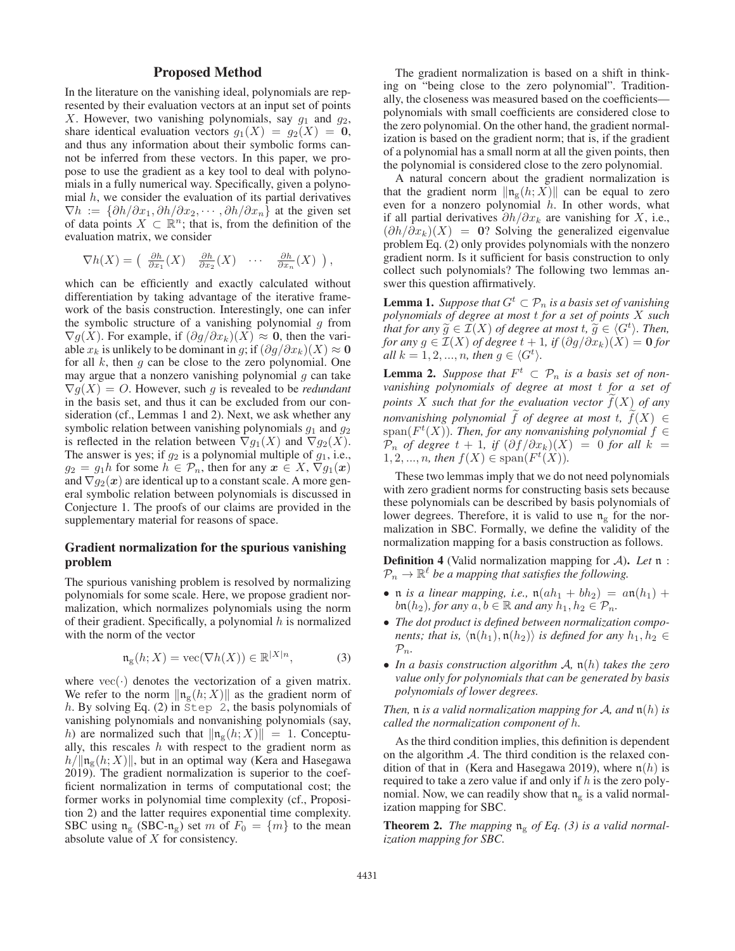# Proposed Method

In the literature on the vanishing ideal, polynomials are represented by their evaluation vectors at an input set of points X. However, two vanishing polynomials, say  $g_1$  and  $g_2$ , share identical evaluation vectors  $g_1(X) = g_2(X) = 0$ , and thus any information about their symbolic forms cannot be inferred from these vectors. In this paper, we propose to use the gradient as a key tool to deal with polynomials in a fully numerical way. Specifically, given a polynomial  $h$ , we consider the evaluation of its partial derivatives  $\nabla h := {\partial h/\partial x_1, \partial h/\partial x_2, \cdots, \partial h/\partial x_n}$  at the given set of data points  $X \subset \mathbb{R}^n$ ; that is, from the definition of the evaluation matrix, we consider

$$
\nabla h(X) = \begin{pmatrix} \frac{\partial h}{\partial x_1}(X) & \frac{\partial h}{\partial x_2}(X) & \cdots & \frac{\partial h}{\partial x_n}(X) \end{pmatrix},
$$

which can be efficiently and exactly calculated without differentiation by taking advantage of the iterative framework of the basis construction. Interestingly, one can infer the symbolic structure of a vanishing polynomial  $g$  from  $\nabla g(X)$ . For example, if  $(\partial g/\partial x_k)(X) \approx 0$ , then the variable  $x_k$  is unlikely to be dominant in g; if  $(\partial g / \partial x_k)(X) \approx 0$ for all  $k$ , then  $g$  can be close to the zero polynomial. One may argue that a nonzero vanishing polynomial  $g$  can take  $\nabla g(X) = O$ . However, such g is revealed to be *redundant* in the basis set, and thus it can be excluded from our consideration (cf., Lemmas 1 and 2). Next, we ask whether any symbolic relation between vanishing polynomials  $g_1$  and  $g_2$ is reflected in the relation between  $\nabla g_1(X)$  and  $\nabla g_2(X)$ . The answer is yes; if  $g_2$  is a polynomial multiple of  $g_1$ , i.e.,  $g_2 = g_1 h$  for some  $h \in \mathcal{P}_n$ , then for any  $x \in X$ ,  $\nabla g_1(x)$ and  $\nabla g_2(x)$  are identical up to a constant scale. A more general symbolic relation between polynomials is discussed in Conjecture 1. The proofs of our claims are provided in the supplementary material for reasons of space.

# Gradient normalization for the spurious vanishing problem

The spurious vanishing problem is resolved by normalizing polynomials for some scale. Here, we propose gradient normalization, which normalizes polynomials using the norm of their gradient. Specifically, a polynomial  $h$  is normalized with the norm of the vector

$$
\mathfrak{n}_{\mathbf{g}}(h;X) = \text{vec}(\nabla h(X)) \in \mathbb{R}^{|X|n},\tag{3}
$$

where  $\text{vec}(\cdot)$  denotes the vectorization of a given matrix. We refer to the norm  $\|\mathfrak{n}_{g}(h; X)\|$  as the gradient norm of h. By solving Eq.  $(2)$  in Step 2, the basis polynomials of vanishing polynomials and nonvanishing polynomials (say, h) are normalized such that  $\|\mathfrak{n}_{g}(h; X)\| = 1$ . Conceptually, this rescales  $h$  with respect to the gradient norm as  $h/\|\mathfrak{n}_{g}(h; X)\|$ , but in an optimal way (Kera and Hasegawa 2019). The gradient normalization is superior to the coefficient normalization in terms of computational cost; the former works in polynomial time complexity (cf., Proposition 2) and the latter requires exponential time complexity. SBC using  $\mathfrak{n}_{g}$  (SBC- $\mathfrak{n}_{g}$ ) set m of  $F_0 = \{m\}$  to the mean absolute value of X for consistency.

The gradient normalization is based on a shift in thinking on "being close to the zero polynomial". Traditionally, the closeness was measured based on the coefficients polynomials with small coefficients are considered close to the zero polynomial. On the other hand, the gradient normalization is based on the gradient norm; that is, if the gradient of a polynomial has a small norm at all the given points, then the polynomial is considered close to the zero polynomial.

A natural concern about the gradient normalization is that the gradient norm  $\|\mathfrak{n}_{g}(h; X)\|$  can be equal to zero even for a nonzero polynomial  $h$ . In other words, what if all partial derivatives  $\partial h / \partial x_k$  are vanishing for X, i.e.,  $(\partial h/\partial x_k)(X) = 0$ ? Solving the generalized eigenvalue problem Eq. (2) only provides polynomials with the nonzero gradient norm. Is it sufficient for basis construction to only collect such polynomials? The following two lemmas answer this question affirmatively.

**Lemma 1.** *Suppose that*  $G^t \subset \mathcal{P}_n$  *is a basis set of vanishing polynomials of degree at most* t *for a set of points* X *such that for any*  $\widetilde{g} \in \mathcal{I}(X)$  *of degree at most*  $t$ ,  $\widetilde{g} \in \langle G^t \rangle$ *. Then,*<br>*for any*  $\in \mathcal{I}(X)$  *of degree at most*  $t \in \{0, \{2\}, \{2\}, \{X\}$ *for any*  $g \in \mathcal{I}(X)$  *of degree*  $t + 1$ *, if*  $(\partial g / \partial x_k)(X) = 0$  *for all*  $k = 1, 2, ..., n$ *, then*  $g \in \langle G^t \rangle$ *.* 

**Lemma 2.** *Suppose that*  $F^t \subset \mathcal{P}_n$  *is a basis set of nonvanishing polynomials of degree at most* t *for a set of points* X *such that for the evaluation vector* f (X) *of any nonvanishing polynomial*  $f$  *of degree at most*  $t$ *,*  $f(X) \in$  $\mathrm{span}(F^t(X))$ *. Then, for any nonvanishing polynomial*  $f \in$  $\mathcal{P}_n$  *of degree*  $t + 1$ *, if*  $(\partial f / \partial x_k)(X) = 0$  *for all*  $k = 1, 2, ..., n$ *, then*  $f(X) \in span(F^t(X))$ *.* 

These two lemmas imply that we do not need polynomials with zero gradient norms for constructing basis sets because these polynomials can be described by basis polynomials of lower degrees. Therefore, it is valid to use  $\mathfrak{n}_{g}$  for the normalization in SBC. Formally, we define the validity of the normalization mapping for a basis construction as follows.

Definition 4 (Valid normalization mapping for A). *Let* n :  $P_n \to \mathbb{R}^{\ell}$  be a mapping that satisfies the following.

- n *is a linear mapping, i.e.*,  $n(ah_1 + bh_2) = an(h_1) +$  $b_n(h_2)$ *, for any*  $a, b \in \mathbb{R}$  *and any*  $h_1, h_2 \in \mathcal{P}_n$ *.*
- *The dot product is defined between normalization components; that is,*  $\langle \mathfrak{n}(h_1), \mathfrak{n}(h_2) \rangle$  *is defined for any*  $h_1, h_2 \in$  $\mathcal{P}_n$ .
- *In a basis construction algorithm* A*,* n(h) *takes the zero value only for polynomials that can be generated by basis polynomials of lower degrees.*

*Then,* n *is a valid normalization mapping for* A*, and* n(h) *is called the normalization component of* h*.*

As the third condition implies, this definition is dependent on the algorithm  $A$ . The third condition is the relaxed condition of that in (Kera and Hasegawa 2019), where  $\mathfrak{n}(h)$  is required to take a zero value if and only if  $h$  is the zero polynomial. Now, we can readily show that  $n_g$  is a valid normalization mapping for SBC.

**Theorem 2.** The mapping  $\mathfrak{n}_{g}$  of Eq. (3) is a valid normal*ization mapping for SBC.*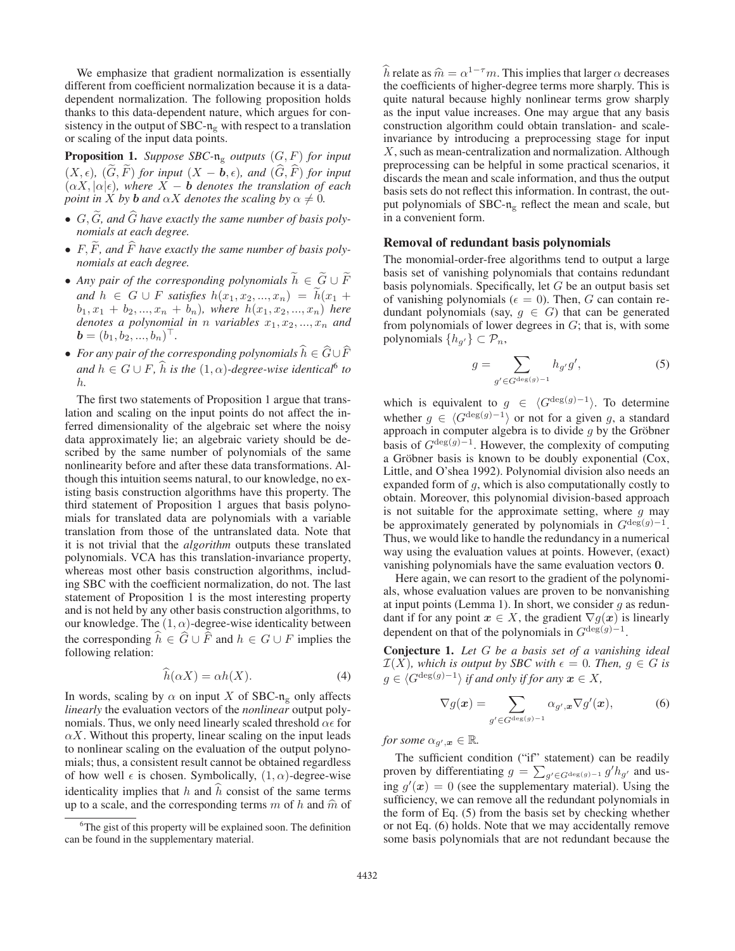We emphasize that gradient normalization is essentially different from coefficient normalization because it is a datadependent normalization. The following proposition holds thanks to this data-dependent nature, which argues for consistency in the output of SBC- $n<sub>g</sub>$  with respect to a translation or scaling of the input data points.

Proposition 1. *Suppose SBC-*n<sup>g</sup> *outputs* (G, F) *for input*  $(X, \epsilon)$ ,  $(G, F)$  *for input*  $(X - b, \epsilon)$ *, and*  $(G, F)$  *for input*  $(\alpha X, |\alpha|\epsilon)$ , where  $X - b$  denotes the translation of each *point in*  $X$  *by*  $\mathbf{b}$  *and*  $\alpha X$  *denotes the scaling*  $b$ *y*  $\alpha \neq 0$ *.* 

- G, G *, and* G *have exactly the same number of basis polynomials at each degree.*
- F, F *, and* F *have exactly the same number of basis polynomials at each degree.*
- Any pair of the corresponding polynomials  $h \in G \cup F$ *and*  $h \text{ } \in G \cup F$  *satisfies*  $h(x_1, x_2, ..., x_n) = h(x_1 + h)$ <br> *h*<sub>k</sub>  $x_1 + h$  *x*  $x_2 + h$  *x h xhare*  $h(x_1, x_2, ..., x_n)$  *hare*  $b_1, x_1 + b_2, ..., x_n + b_n$ *), where*  $h(x_1, x_2, ..., x_n)$  *here denotes a polynomial in n variables*  $x_1, x_2, ..., x_n$  *and*  $\mathbf{b} = (b_1, b_2, ..., b_n)^\top.$
- *For any pair of the corresponding polynomials* h ∈ G∪F and  $h \in G \cup F$ ,  $\hat{h}$  *is the*  $(1, \alpha)$ -degree-wise identical<sup>6</sup> to h*.*

The first two statements of Proposition 1 argue that translation and scaling on the input points do not affect the inferred dimensionality of the algebraic set where the noisy data approximately lie; an algebraic variety should be described by the same number of polynomials of the same nonlinearity before and after these data transformations. Although this intuition seems natural, to our knowledge, no existing basis construction algorithms have this property. The third statement of Proposition 1 argues that basis polynomials for translated data are polynomials with a variable translation from those of the untranslated data. Note that it is not trivial that the *algorithm* outputs these translated polynomials. VCA has this translation-invariance property, whereas most other basis construction algorithms, including SBC with the coefficient normalization, do not. The last statement of Proposition 1 is the most interesting property and is not held by any other basis construction algorithms, to our knowledge. The  $(1, \alpha)$ -degree-wise identicality between the corresponding  $h \in G \cup F$  and  $h \in G \cup F$  implies the following relation:

$$
\widehat{h}(\alpha X) = \alpha h(X). \tag{4}
$$

In words, scaling by  $\alpha$  on input X of SBC-n<sub>g</sub> only affects *linearly* the evaluation vectors of the *nonlinear* output polynomials. Thus, we only need linearly scaled threshold  $\alpha \epsilon$  for  $\alpha X$ . Without this property, linear scaling on the input leads to nonlinear scaling on the evaluation of the output polynomials; thus, a consistent result cannot be obtained regardless of how well  $\epsilon$  is chosen. Symbolically,  $(1, \alpha)$ -degree-wise identicality implies that  $h$  and  $h$  consist of the same terms up to a scale, and the corresponding terms  $m$  of  $h$  and  $\hat{m}$  of

h relate as  $\hat{m} = \alpha^{1-\tau} m$ . This implies that larger  $\alpha$  decreases the coefficients of higher-degree terms more sharply. This is quite natural because highly nonlinear terms grow sharply as the input value increases. One may argue that any basis construction algorithm could obtain translation- and scaleinvariance by introducing a preprocessing stage for input X, such as mean-centralization and normalization. Although preprocessing can be helpful in some practical scenarios, it discards the mean and scale information, and thus the output basis sets do not reflect this information. In contrast, the output polynomials of  $SBC-n<sub>g</sub>$  reflect the mean and scale, but in a convenient form.

#### Removal of redundant basis polynomials

The monomial-order-free algorithms tend to output a large basis set of vanishing polynomials that contains redundant basis polynomials. Specifically, let  $G$  be an output basis set of vanishing polynomials ( $\epsilon = 0$ ). Then, G can contain redundant polynomials (say,  $g \in G$ ) that can be generated from polynomials of lower degrees in  $G$ ; that is, with some polynomials  $\{h_{g'}\} \subset \mathcal{P}_n$ ,

$$
g = \sum_{g' \in G^{\deg(g)-1}} h_{g'} g', \tag{5}
$$

which is equivalent to  $g \in \langle G^{\deg(g)-1} \rangle$ . To determine whether  $g \in \langle G^{\deg(g)-1} \rangle$  or not for a given g, a standard approach in computer algebra is to divide  $q$  by the Gröbner basis of  $G^{\deg(g)-1}$ . However, the complexity of computing a Gröbner basis is known to be doubly exponential (Cox, Little, and O'shea 1992). Polynomial division also needs an expanded form of g, which is also computationally costly to obtain. Moreover, this polynomial division-based approach is not suitable for the approximate setting, where  $g$  may be approximately generated by polynomials in  $G^{\deg(g)-1}$ . Thus, we would like to handle the redundancy in a numerical way using the evaluation values at points. However, (exact) vanishing polynomials have the same evaluation vectors **0**.

Here again, we can resort to the gradient of the polynomials, whose evaluation values are proven to be nonvanishing at input points (Lemma 1). In short, we consider  $q$  as redundant if for any point  $x \in X$ , the gradient  $\nabla g(x)$  is linearly dependent on that of the polynomials in  $G^{\deg(g)-1}$ .

Conjecture 1. *Let* G *be a basis set of a vanishing ideal*  $\mathcal{I}(X)$ , which is output by SBC with  $\epsilon = 0$ . Then,  $g \in G$  is  $g \in \langle G^{\deg(g)-1} \rangle$  *if and only if for any*  $x \in X$ *,* 

$$
\nabla g(\boldsymbol{x}) = \sum_{g' \in G^{\deg(g)-1}} \alpha_{g',\boldsymbol{x}} \nabla g'(\boldsymbol{x}),\tag{6}
$$

*for some*  $\alpha_{g',\bm{x}} \in \mathbb{R}$ .

The sufficient condition ("if" statement) can be readily proven by differentiating  $g = \sum_{g' \in G^{\deg(g)-1}} g' h_{g'}$  and us-<br>ing  $g'(g) = 0$  (see the supplementary material). Using the ing  $g'(x) = 0$  (see the supplementary material). Using the sufficiency, we can remove all the redundant polynomials in the form of Eq. (5) from the basis set by checking whether or not Eq. (6) holds. Note that we may accidentally remove some basis polynomials that are not redundant because the

<sup>&</sup>lt;sup>6</sup>The gist of this property will be explained soon. The definition can be found in the supplementary material.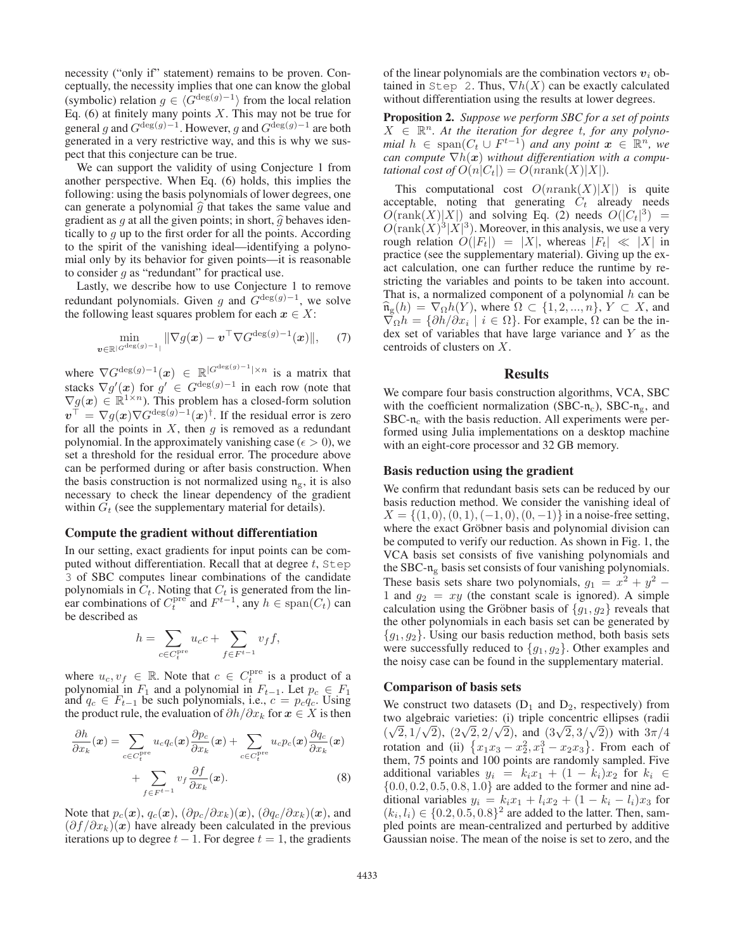necessity ("only if" statement) remains to be proven. Conceptually, the necessity implies that one can know the global (symbolic) relation  $g \in \langle G^{\deg(g)-1} \rangle$  from the local relation Eq. (6) at finitely many points  $X$ . This may not be true for general g and  $G^{\deg(g)-1}$ . However, g and  $G^{\deg(g)-1}$  are both generated in a very restrictive way, and this is why we suspect that this conjecture can be true.

We can support the validity of using Conjecture 1 from another perspective. When Eq. (6) holds, this implies the following: using the basis polynomials of lower degrees, one can generate a polynomial  $\hat{g}$  that takes the same value and gradient as q at all the given points; in short,  $\hat{q}$  behaves identically to  $q$  up to the first order for all the points. According to the spirit of the vanishing ideal—identifying a polynomial only by its behavior for given points—it is reasonable to consider  $q$  as "redundant" for practical use.

Lastly, we describe how to use Conjecture 1 to remove redundant polynomials. Given q and  $G^{\deg(g)-1}$ , we solve the following least squares problem for each  $x \in X$ :

$$
\min_{\boldsymbol{v}\in\mathbb{R}^{|\mathcal{G}^{\deg(g)}-1|}}\|\nabla g(\boldsymbol{x})-\boldsymbol{v}^{\top}\nabla\mathcal{G}^{\deg(g)-1}(\boldsymbol{x})\|,\quad \ \ (7)
$$

where  $\nabla G^{\deg(g)-1}(x) \in \mathbb{R}^{|G^{\deg(g)-1}| \times n}$  is a matrix that stacks  $\nabla g'(x)$  for  $g' \in G^{\deg(g)-1}$  in each row (note that  $\nabla g(x) \in \mathbb{R}^{1 \times n}$ ). This problem has a closed-form solution  $v^{\top} = \nabla g(x) \nabla G^{\deg(g)-1}(x)^{\dagger}$ . If the residual error is zero for all the points in  $X$ , then  $g$  is removed as a redundant polynomial. In the approximately vanishing case ( $\epsilon > 0$ ), we set a threshold for the residual error. The procedure above can be performed during or after basis construction. When the basis construction is not normalized using  $n_{\rm g}$ , it is also necessary to check the linear dependency of the gradient within  $G_t$  (see the supplementary material for details).

## Compute the gradient without differentiation

In our setting, exact gradients for input points can be computed without differentiation. Recall that at degree  $t$ , Step 3 of SBC computes linear combinations of the candidate polynomials in  $C_t$ . Noting that  $C_t$  is generated from the lin-<br>ear combinations of  $C_t^{\text{pre}}$  and  $F^{t-1}$ , any  $h \in \text{span}(C_t)$  can<br>be described as be described as

$$
h = \sum_{c \in C_t^{\text{pre}}} u_c c + \sum_{f \in F^{t-1}} v_f f,
$$

where  $u_c, v_f \in \mathbb{R}$ . Note that  $c \in C_t^{\text{pre}}$  is a product of a polynomial in  $F_t$  and a polynomial in  $F_{t-1}$ . Let  $n \in F_t$ polynomial in  $F_1$  and a polynomial in  $F_{t-1}$ . Let  $p_c \in F_1$ and  $q_c \in F_{t-1}$  be such polynomials, i.e.,  $c = p_c q_c$ . Using the product rule, the evaluation of  $\partial h / \partial x_k$  for  $x \in X$  is then

$$
\frac{\partial h}{\partial x_k}(\boldsymbol{x}) = \sum_{c \in C_t^{\text{pre}}} u_c q_c(\boldsymbol{x}) \frac{\partial p_c}{\partial x_k}(\boldsymbol{x}) + \sum_{c \in C_t^{\text{pre}}} u_c p_c(\boldsymbol{x}) \frac{\partial q_c}{\partial x_k}(\boldsymbol{x}) + \sum_{f \in F^{t-1}} v_f \frac{\partial f}{\partial x_k}(\boldsymbol{x}).
$$
\n(8)

Note that  $p_c(x)$ ,  $q_c(x)$ ,  $(\partial p_c/\partial x_k)(x)$ ,  $(\partial q_c/\partial x_k)(x)$ , and  $(\partial f / \partial x_k)(x)$  have already been calculated in the previous iterations up to degree  $t - 1$ . For degree  $t = 1$ , the gradients

of the linear polynomials are the combination vectors  $v_i$  obtained in Step 2. Thus,  $\nabla h(X)$  can be exactly calculated without differentiation using the results at lower degrees.

Proposition 2. *Suppose we perform SBC for a set of points*  $X \in \mathbb{R}^n$ . At the iteration for degree t, for any polyno*mial*  $h \in \text{span}(C_t \cup F^{t-1})$  *and any point*  $x \in \mathbb{R}^n$ *, we can compute*  $\nabla h(x)$  *without differentiation with a computational cost of*  $O(n|C_t|) = O(nrank(X)|X|)$ *.* 

This computational cost  $O(nrank(X)|X|)$  is quite acceptable, noting that generating  $C_t$  already needs  $O(\text{rank}(X)|X|)$  and solving Eq. (2) needs  $O(|C_t|^3) = O(\text{rank}(X)^3|X|^3)$ . Moreover, in this analysis, we use a very  $O(\text{rank}(X)|X|)$  and solving Eq. (2) needs  $O(|C_t|^3)$  = rough relation  $O(|F_t|) = |X|$ , whereas  $|F_t| \ll |X|$  in practice (see the supplementary material). Giving up the exact calculation, one can further reduce the runtime by restricting the variables and points to be taken into account. That is, a normalized component of a polynomial  $h$  can be  $\widehat{\mathfrak{n}}_{g}(h) = \nabla_{\Omega}h(Y)$ , where  $\Omega \subset \{1, 2, ..., n\}$ ,  $Y \subset X$ , and  $\nabla_{\Omega}h = {\partial h}/{\partial x_i} \mid i \in \Omega$ . For example,  $\Omega$  can be the index set of variables that have large variance and Y as the centroids of clusters on X.

# Results

We compare four basis construction algorithms, VCA, SBC with the coefficient normalization (SBC- $n_c$ ), SBC- $n_g$ , and  $SBC-n<sub>c</sub>$  with the basis reduction. All experiments were performed using Julia implementations on a desktop machine with an eight-core processor and 32 GB memory.

### Basis reduction using the gradient

We confirm that redundant basis sets can be reduced by our basis reduction method. We consider the vanishing ideal of  $X = \{(1, 0), (0, 1), (-1, 0), (0, -1)\}\$ in a noise-free setting, where the exact Gröbner basis and polynomial division can be computed to verify our reduction. As shown in Fig. 1, the VCA basis set consists of five vanishing polynomials and the SBC- $n<sub>g</sub>$  basis set consists of four vanishing polynomials. These basis sets share two polynomials,  $g_1 = x^2 + y^2$  − 1 and  $q_2 = xy$  (the constant scale is ignored). A simple calculation using the Gröbner basis of  ${g_1, g_2}$  reveals that the other polynomials in each basis set can be generated by  ${g_1, g_2}$ . Using our basis reduction method, both basis sets were successfully reduced to  ${g_1, g_2}$ . Other examples and the noisy case can be found in the supplementary material.

#### Comparison of basis sets

We construct two datasets  $(D_1 \text{ and } D_2)$ , respectively) from two algebraic varieties: (i) triple concentric ellipses (radii ( $\sqrt{2}$ ,  $1/\sqrt{2}$ ),  $(2\sqrt{2}, 2/\sqrt{2})$ , and  $(3\sqrt{2}, 3/\sqrt{2})$ ) with  $3\pi/4$ rotation and (ii)  $\{x_1x_3 - x_2^2, x_1^3 - x_2x_3\}$ . From each of them, 75 points and 100 points are randomly sampled. Five additional variables  $y_i = k_i x_1 + (1 - k_i)x_2$  for  $k_i \in$  $\{0.0, 0.2, 0.5, 0.8, 1.0\}$  are added to the former and nine additional variables  $y_i = k_i x_1 + l_i x_2 + (1 - k_i - l_i)x_3$  for  $(k_i, l_i) \in \{0.2, 0.5, 0.8\}^2$  are added to the latter. Then, sampled points are mean-centralized and perturbed by additive Gaussian noise. The mean of the noise is set to zero, and the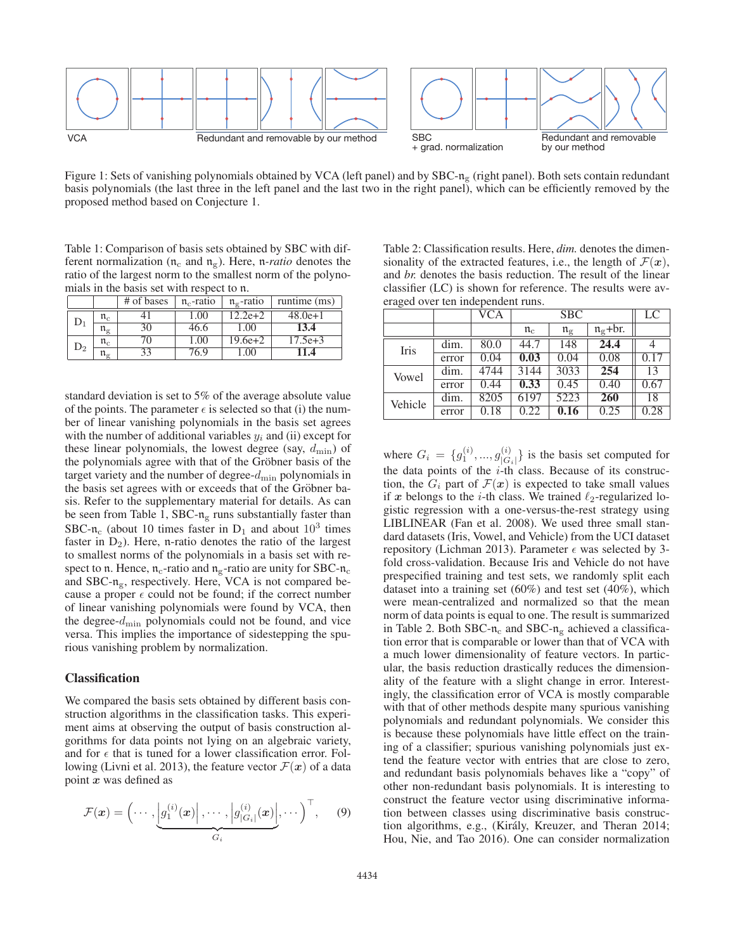

Figure 1: Sets of vanishing polynomials obtained by VCA (left panel) and by SBC-n<sub>g</sub> (right panel). Both sets contain redundant basis polynomials (the last three in the left panel and the last two in the right panel), which can be efficiently removed by the proposed method based on Conjecture 1.

Table 1: Comparison of basis sets obtained by SBC with different normalization ( $n_c$  and  $n_g$ ). Here, *n-ratio* denotes the ratio of the largest norm to the smallest norm of the polynomials in the basis set with respect to n.

|                |                                           | # of bases | $\mathfrak{n}_c$ -ratio | $\mathfrak{n}_{\alpha}$ -ratio | runtime (ms) |
|----------------|-------------------------------------------|------------|-------------------------|--------------------------------|--------------|
| $\mathsf{D}_1$ | $\mathfrak{n}_{\rm c}$                    |            | 1.00                    | $12.2e+2$                      | $48.0e+1$    |
|                | $\mathfrak{n}_{\mathfrak{C}}$             | 30         | 46.6                    | $00^{\circ}$                   | 13.4         |
| $\mathsf{D}_2$ | $\mathfrak{n}_{\rm c}$                    | 70         | 1.00                    | $19.6e + 2$                    | $17.5e + 3$  |
|                | $\mathfrak{n}_{\scriptscriptstyle\sigma}$ | 33         | 76.9                    | .00                            | 1.4          |

standard deviation is set to 5% of the average absolute value of the points. The parameter  $\epsilon$  is selected so that (i) the number of linear vanishing polynomials in the basis set agrees with the number of additional variables  $y_i$  and (ii) except for these linear polynomials, the lowest degree (say,  $d_{\min}$ ) of the polynomials agree with that of the Gröbner basis of the target variety and the number of degree- $d_{\min}$  polynomials in the basis set agrees with or exceeds that of the Gröbner basis. Refer to the supplementary material for details. As can be seen from Table 1, SBC- $n<sub>g</sub>$  runs substantially faster than SBC-n<sub>c</sub> (about 10 times faster in  $D_1$  and about 10<sup>3</sup> times faster in  $D_2$ ). Here, n-ratio denotes the ratio of the largest to smallest norms of the polynomials in a basis set with respect to n. Hence,  $n_c$ -ratio and  $n_g$ -ratio are unity for SBC- $n_c$ and SBC- $n_{\rm g}$ , respectively. Here, VCA is not compared because a proper  $\epsilon$  could not be found; if the correct number of linear vanishing polynomials were found by VCA, then the degree- $d_{\min}$  polynomials could not be found, and vice versa. This implies the importance of sidestepping the spurious vanishing problem by normalization.

### Classification

We compared the basis sets obtained by different basis construction algorithms in the classification tasks. This experiment aims at observing the output of basis construction algorithms for data points not lying on an algebraic variety, and for  $\epsilon$  that is tuned for a lower classification error. Following (Livni et al. 2013), the feature vector  $\mathcal{F}(x)$  of a data point *x* was defined as

$$
\mathcal{F}(\boldsymbol{x}) = \left(\cdots, \underbrace{\left|g_1^{(i)}(\boldsymbol{x})\right|, \cdots, \left|g_{|G_i|}^{(i)}(\boldsymbol{x})\right|, \cdots}_{G_i}, \cdots\right)^{\top}, \qquad (9)
$$

Table 2: Classification results. Here, *dim.* denotes the dimensionality of the extracted features, i.e., the length of  $\mathcal{F}(\boldsymbol{x})$ , and *br.* denotes the basis reduction. The result of the linear classifier (LC) is shown for reference. The results were averaged over ten independent runs.

|         |       | <b>VCA</b> |                        | <b>SBC</b>                  |                  | LC   |
|---------|-------|------------|------------------------|-----------------------------|------------------|------|
|         |       |            | $\mathfrak{n}_{\rm c}$ | $\mathfrak{n}_{\mathrm{g}}$ | $n_{\rm g}$ +br. |      |
| Iris    | dim.  | 80.0       | 44.7                   | 148                         | 24.4             |      |
|         | error | 0.04       | 0.03                   | 0.04                        | 0.08             | 0.17 |
| Vowel   | dim.  | 4744       | 3144                   | 3033                        | 254              | 13   |
|         | error | 0.44       | 0.33                   | 0.45                        | 0.40             | 0.67 |
| Vehicle | dim.  | 8205       | 6197                   | 5223                        | 260              | 18   |
|         | error | 0.18       | 0.22                   | 0.16                        | 0.25             | 0.28 |

where  $G_i = \{g_1^{(i)}, ..., g_{|G_i|}^{(i)}\}$  is the basis set computed for the data points of the *i*-th class. Because of its construction, the  $G_i$  part of  $\mathcal{F}(\boldsymbol{x})$  is expected to take small values if x belongs to the *i*-th class. We trained  $\ell_2$ -regularized logistic regression with a one-versus-the-rest strategy using LIBLINEAR (Fan et al. 2008). We used three small standard datasets (Iris, Vowel, and Vehicle) from the UCI dataset repository (Lichman 2013). Parameter  $\epsilon$  was selected by 3fold cross-validation. Because Iris and Vehicle do not have prespecified training and test sets, we randomly split each dataset into a training set (60%) and test set (40%), which were mean-centralized and normalized so that the mean norm of data points is equal to one. The result is summarized in Table 2. Both SBC- $n_c$  and SBC- $n_g$  achieved a classification error that is comparable or lower than that of VCA with a much lower dimensionality of feature vectors. In particular, the basis reduction drastically reduces the dimensionality of the feature with a slight change in error. Interestingly, the classification error of VCA is mostly comparable with that of other methods despite many spurious vanishing polynomials and redundant polynomials. We consider this is because these polynomials have little effect on the training of a classifier; spurious vanishing polynomials just extend the feature vector with entries that are close to zero, and redundant basis polynomials behaves like a "copy" of other non-redundant basis polynomials. It is interesting to construct the feature vector using discriminative information between classes using discriminative basis construction algorithms, e.g., (Király, Kreuzer, and Theran 2014; Hou, Nie, and Tao 2016). One can consider normalization